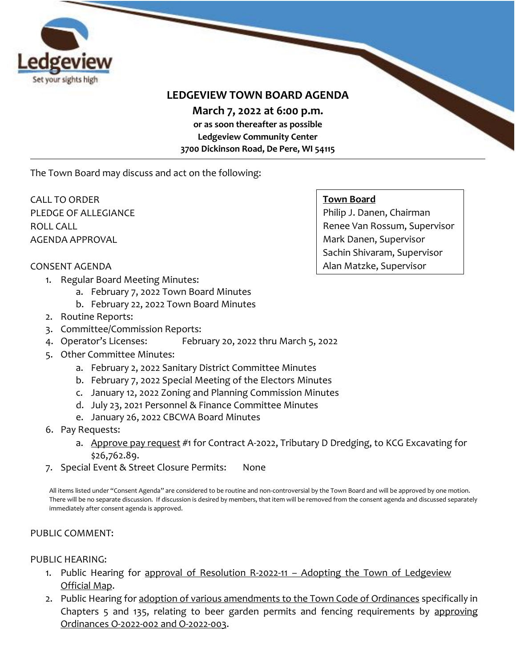

# **LEDGEVIEW TOWN BOARD AGENDA**

**March 7, 2022 at 6:00 p.m.** 

**or as soon thereafter as possible Ledgeview Community Center 3700 Dickinson Road, De Pere, WI 54115**

The Town Board may discuss and act on the following:

CALL TO ORDER PLEDGE OF ALLEGIANCE ROLL CALL AGENDA APPROVAL

# **Town Board**

Philip J. Danen, Chairman Renee Van Rossum, Supervisor Mark Danen, Supervisor Sachin Shivaram, Supervisor Alan Matzke, Supervisor

# CONSENT AGENDA

- 1. Regular Board Meeting Minutes:
	- a. February 7, 2022 Town Board Minutes
	- b. February 22, 2022 Town Board Minutes
- 2. Routine Reports:
- 3. Committee/Commission Reports:
- 4. Operator's Licenses: February 20, 2022 thru March 5, 2022
- 5. Other Committee Minutes:
	- a. February 2, 2022 Sanitary District Committee Minutes
	- b. February 7, 2022 Special Meeting of the Electors Minutes
	- c. January 12, 2022 Zoning and Planning Commission Minutes
	- d. July 23, 2021 Personnel & Finance Committee Minutes
	- e. January 26, 2022 CBCWA Board Minutes
- 6. Pay Requests:
	- a. Approve pay request #1 for Contract A-2022, Tributary D Dredging, to KCG Excavating for \$26,762.89.
- 7. Special Event & Street Closure Permits: None

All items listed under "Consent Agenda" are considered to be routine and non-controversial by the Town Board and will be approved by one motion. There will be no separate discussion. If discussion is desired by members, that item will be removed from the consent agenda and discussed separately immediately after consent agenda is approved.

# PUBLIC COMMENT:

# PUBLIC HEARING:

- 1. Public Hearing for approval of Resolution R-2022-11 Adopting the Town of Ledgeview Official Map.
- 2. Public Hearing for adoption of various amendments to the Town Code of Ordinances specifically in Chapters 5 and 135, relating to beer garden permits and fencing requirements by approving Ordinances O-2022-002 and O-2022-003.